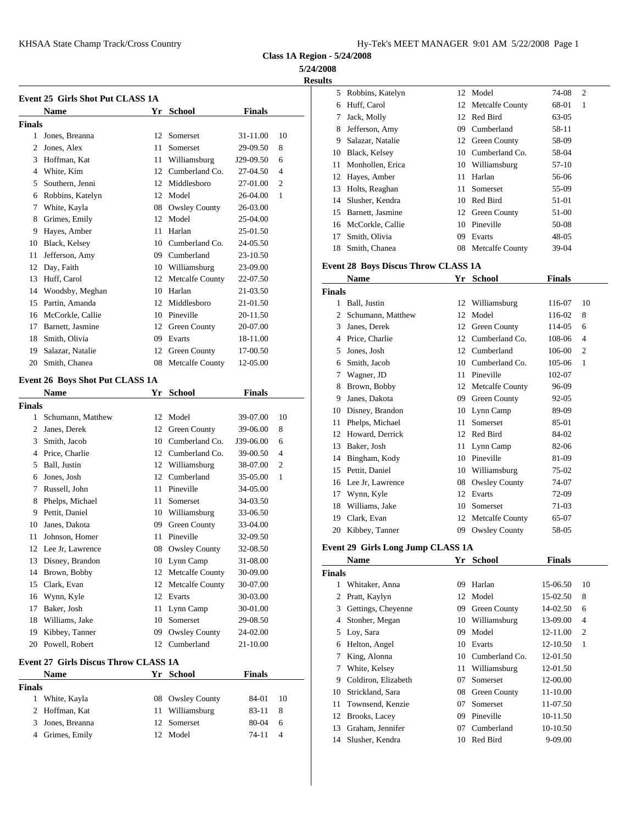**Class 1A Region - 5/24/2008**

**5/24/2008**

**Results**

|                | <b>Event 25 Girls Shot Put CLASS 1A</b>     |    |                    |               |    | 5              | Robbi              |
|----------------|---------------------------------------------|----|--------------------|---------------|----|----------------|--------------------|
|                | <b>Name</b>                                 |    | Yr School          | <b>Finals</b> |    | 6              | Huff,              |
| <b>Finals</b>  |                                             |    |                    |               |    | 7              | Jack,              |
|                | 1 Jones, Breanna                            |    | 12 Somerset        | 31-11.00      | 10 | 8              | Jeffer             |
| 2              | Jones, Alex                                 | 11 | Somerset           | 29-09.50      | 8  | 9              | Salaza             |
| 3              | Hoffman, Kat                                | 11 | Williamsburg       | J29-09.50     | 6  | 10             | Black              |
|                | 4 White, Kim                                |    | 12 Cumberland Co.  | 27-04.50      | 4  | 11             | Monh               |
| 5              | Southern, Jenni                             |    | 12 Middlesboro     | 27-01.00      | 2  | 12             | Hayes              |
| 6              | Robbins, Katelyn                            |    | 12 Model           | 26-04.00      | 1  | 13             | Holts.             |
| 7              | White, Kayla                                |    | 08 Owsley County   | 26-03.00      |    | 14             | Slush              |
| 8              | Grimes, Emily                               |    | 12 Model           | 25-04.00      |    | 15             | Barne              |
| 9              | Hayes, Amber                                | 11 | Harlan             | 25-01.50      |    | 16             | McCo               |
| 10             | Black, Kelsey                               | 10 | Cumberland Co.     | 24-05.50      |    | 17             | Smith              |
| 11             | Jefferson, Amy                              |    | 09 Cumberland      | 23-10.50      |    | 18             | Smith              |
| 12             | Day, Faith                                  |    | 10 Williamsburg    | 23-09.00      |    |                | Event 28 B         |
| 13             | Huff, Carol                                 |    | 12 Metcalfe County | 22-07.50      |    |                | <b>Nam</b>         |
| 14             | Woodsby, Meghan                             |    | 10 Harlan          | 21-03.50      |    | <b>Finals</b>  |                    |
| 15             | Partin, Amanda                              | 12 | Middlesboro        | 21-01.50      |    | 1              | Ball.              |
| 16             | McCorkle, Callie                            | 10 | Pineville          | 20-11.50      |    | $\overline{c}$ | Schur              |
| 17             | Barnett, Jasmine                            |    | 12 Green County    | 20-07.00      |    | 3              | Janes.             |
| 18             | Smith, Olivia                               |    | 09 Evarts          | 18-11.00      |    |                | 4 Price,           |
| 19             | Salazar, Natalie                            |    | 12 Green County    | 17-00.50      |    | 5              | Jones              |
| 20             | Smith, Chanea                               |    | 08 Metcalfe County | 12-05.00      |    | 6              | Smith              |
|                |                                             |    |                    |               |    | 7              | Wagn               |
|                | Event 26 Boys Shot Put CLASS 1A             |    |                    |               |    | 8              | <b>Brow</b>        |
|                | Name                                        | Yr | <b>School</b>      | <b>Finals</b> |    | 9              | Janes.             |
| <b>Finals</b>  |                                             |    |                    |               |    | 10             | Disne              |
| 1              | Schumann, Matthew                           |    | 12 Model           | 39-07.00      | 10 | 11             | Phelp              |
| $\overline{2}$ | Janes, Derek                                | 12 | Green County       | 39-06.00      | 8  | 12             | Howa               |
| 3              | Smith, Jacob                                | 10 | Cumberland Co.     | J39-06.00     | 6  | 13             | Baker              |
|                | 4 Price, Charlie                            |    | 12 Cumberland Co.  | 39-00.50      | 4  | 14             | Bingh              |
| 5              | Ball, Justin                                | 12 | Williamsburg       | 38-07.00      | 2  | 15             | Pettit,            |
| 6              | Jones, Josh                                 | 12 | Cumberland         | 35-05.00      | 1  | 16             | Lee J <sub>1</sub> |
| 7              | Russell, John                               | 11 | Pineville          | 34-05.00      |    | 17             | Wynr               |
| 8              | Phelps, Michael                             | 11 | Somerset           | 34-03.50      |    | 18             | Willia             |
|                | 9 Pettit, Daniel                            |    | 10 Williamsburg    | 33-06.50      |    | 19             | Clark              |
| 10             | Janes, Dakota                               |    | 09 Green County    | 33-04.00      |    | 20             | Kibbe              |
| 11             | Johnson, Homer                              |    | 11 Pineville       | 32-09.50      |    |                |                    |
|                | 12 Lee Jr, Lawrence                         |    | 08 Owsley County   | 32-08.50      |    |                | <b>Event 29 G</b>  |
|                | 13 Disney, Brandon                          |    | 10 Lynn Camp       | 31-08.00      |    |                | Nam                |
|                | 14 Brown, Bobby                             |    | 12 Metcalfe County | 30-09.00      |    | <b>Finals</b>  |                    |
| 15             | Clark, Evan                                 |    | 12 Metcalfe County | 30-07.00      |    |                | 1 Whita            |
| 16             | Wynn, Kyle                                  |    | 12 Evarts          | 30-03.00      |    | 2              | Pratt,             |
| 17             | Baker, Josh                                 |    | 11 Lynn Camp       | 30-01.00      |    | 3              | Gettir             |
| 18             | Williams, Jake                              |    | 10 Somerset        | 29-08.50      |    | 4              | Stonh              |
| 19             | Kibbey, Tanner                              |    | 09 Owsley County   | 24-02.00      |    | 5              | Loy,               |
|                | 20 Powell, Robert                           |    | 12 Cumberland      | 21-10.00      |    | 6              | Helto              |
|                | <b>Event 27 Girls Discus Throw CLASS 1A</b> |    |                    |               |    | 7              | King,              |
|                | <b>Name</b>                                 |    | Yr School          | <b>Finals</b> |    | 7              | White              |
| <b>Finals</b>  |                                             |    |                    |               |    | 9              | Coldi              |
|                | 1 White, Kayla                              |    | 08 Owsley County   | 84-01         | 10 | 10             | Strick             |
| 2              | Hoffman, Kat                                | 11 | Williamsburg       | 83-11         | 8  | 11             | Town               |
| 3              | Jones, Breanna                              |    | 12 Somerset        | 80-04         | 6  | 12             | <b>Brook</b>       |
|                | 4 Grimes, Emily                             |    | 12 Model           | 74-11         | 4  | 13             | Graha              |
|                |                                             |    |                    |               |    | 14             | Slush              |
|                |                                             |    |                    |               |    |                |                    |

| L. |                  |    |                    |           |                |
|----|------------------|----|--------------------|-----------|----------------|
| 5. | Robbins, Katelyn |    | 12 Model           | 74-08     | $\overline{2}$ |
| 6  | Huff, Carol      |    | 12 Metcalfe County | 68-01     | 1              |
| 7  | Jack, Molly      | 12 | Red Bird           | 63-05     |                |
| 8  | Jefferson, Amy   | 09 | Cumberland         | 58-11     |                |
| 9  | Salazar, Natalie |    | 12 Green County    | 58-09     |                |
| 10 | Black, Kelsey    | 10 | Cumberland Co.     | 58-04     |                |
| 11 | Monhollen, Erica | 10 | Williamsburg       | 57-10     |                |
|    | 12 Hayes, Amber  | 11 | Harlan             | 56-06     |                |
| 13 | Holts, Reaghan   | 11 | Somerset           | 55-09     |                |
| 14 | Slusher, Kendra  | 10 | Red Bird           | 51-01     |                |
| 15 | Barnett, Jasmine |    | 12 Green County    | 51-00     |                |
| 16 | McCorkle, Callie | 10 | Pineville          | 50-08     |                |
| 17 | Smith, Olivia    | 09 | Evarts             | $48 - 05$ |                |
| 18 | Smith, Chanea    | 08 | Metcalfe County    | 39-04     |                |

## **Event 28 Boys Discus Throw CLASS 1A**

|        | <b>Name</b>       | Yr | <b>School</b>        | Finals |                |
|--------|-------------------|----|----------------------|--------|----------------|
| Finals |                   |    |                      |        |                |
| 1      | Ball, Justin      | 12 | Williamsburg         | 116-07 | 10             |
| 2      | Schumann, Matthew | 12 | Model                | 116-02 | 8              |
| 3      | Janes, Derek      | 12 | Green County         | 114-05 | 6              |
| 4      | Price, Charlie    | 12 | Cumberland Co.       | 108-06 | 4              |
| 5      | Jones, Josh       | 12 | Cumberland           | 106-00 | $\overline{2}$ |
| 6      | Smith, Jacob      | 10 | Cumberland Co.       | 105-06 | 1              |
| 7      | Wagner, JD        | 11 | Pineville            | 102-07 |                |
| 8      | Brown, Bobby      | 12 | Metcalfe County      | 96-09  |                |
| 9      | Janes, Dakota     | 09 | Green County         | 92-05  |                |
| 10     | Disney, Brandon   | 10 | Lynn Camp            | 89-09  |                |
| 11     | Phelps, Michael   | 11 | Somerset             | 85-01  |                |
| 12     | Howard, Derrick   | 12 | Red Bird             | 84-02  |                |
| 13     | Baker, Josh       | 11 | Lynn Camp            | 82-06  |                |
| 14     | Bingham, Kody     | 10 | Pineville            | 81-09  |                |
| 15     | Pettit, Daniel    | 10 | Williamsburg         | 75-02  |                |
| 16     | Lee Jr, Lawrence  | 08 | <b>Owsley County</b> | 74-07  |                |
| 17     | Wynn, Kyle        | 12 | Evarts               | 72-09  |                |
| 18     | Williams, Jake    | 10 | Somerset             | 71-03  |                |
| 19     | Clark, Evan       | 12 | Metcalfe County      | 65-07  |                |
| 20     | Kibbey, Tanner    | 09 | <b>Owsley County</b> | 58-05  |                |
|        |                   |    |                      |        |                |

### **Event 29 Girls Long Jump CLASS 1A**

|        | <b>Name</b>         | Yr | <b>School</b>       | <b>Finals</b> |                |
|--------|---------------------|----|---------------------|---------------|----------------|
| Finals |                     |    |                     |               |                |
|        | Whitaker, Anna      | 09 | Harlan              | 15-06.50      | 10             |
|        | 2 Pratt, Kaylyn     | 12 | Model               | 15-02.50      | 8              |
| 3      | Gettings, Cheyenne  | 09 | Green County        | 14-02.50      | 6              |
| 4      | Stonher, Megan      | 10 | Williamsburg        | 13-09.00      | $\overline{4}$ |
|        | 5 Loy, Sara         | 09 | Model               | 12-11.00      | $\overline{c}$ |
| 6      | Helton, Angel       | 10 | Evarts              | 12-10.50      | 1              |
| 7      | King, Alonna        | 10 | Cumberland Co.      | 12-01.50      |                |
| 7      | White, Kelsey       | 11 | Williamsburg        | 12-01.50      |                |
| 9      | Coldiron, Elizabeth | 07 | Somerset            | 12-00.00      |                |
| 10     | Strickland, Sara    | 08 | <b>Green County</b> | 11-10.00      |                |
| 11     | Townsend, Kenzie    | 07 | Somerset            | 11-07.50      |                |
| 12     | Brooks, Lacey       | 09 | Pineville           | 10-11.50      |                |
| 13     | Graham, Jennifer    | 07 | Cumberland          | 10-10.50      |                |
| 14     | Slusher, Kendra     | 10 | Red Bird            | 9-09.00       |                |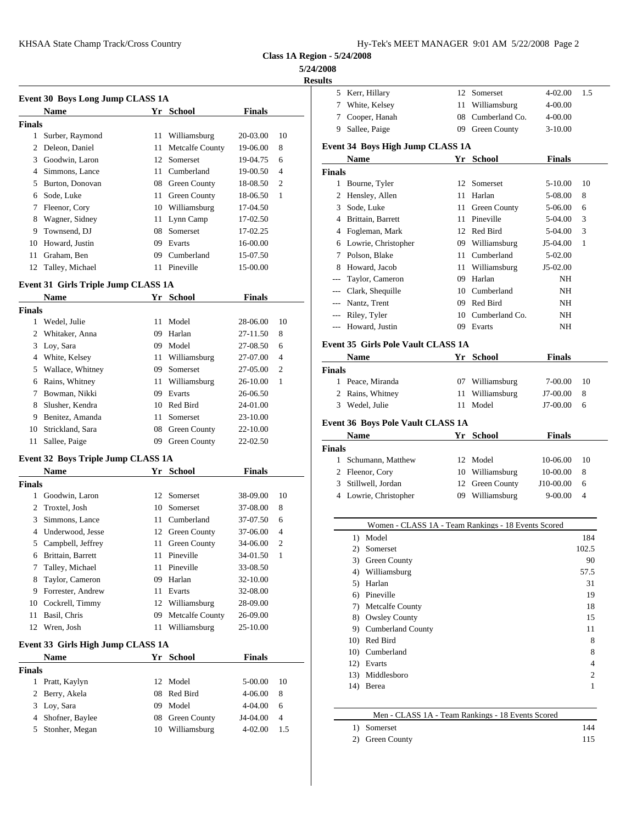| Hy-Tek's MEET MANAGER  9:01 AM  5/22/2008  Page 2 |  |  |  |
|---------------------------------------------------|--|--|--|
|---------------------------------------------------|--|--|--|

**Class 1A Region - 5/24/2008**

### **5/24/2008**

 $\overline{\phantom{a}}$ 

|                | Event 30 Boys Long Jump CLASS 1A           |    |                                    |                      |     | Kerr, I<br>5            |
|----------------|--------------------------------------------|----|------------------------------------|----------------------|-----|-------------------------|
|                | <b>Name</b>                                |    | Yr School                          | <b>Finals</b>        |     | 7<br><b>White</b>       |
| Finals         |                                            |    |                                    |                      |     | 7<br>Coope              |
| 1              | Surber, Raymond                            |    | 11 Williamsburg                    | 20-03.00             | 10  | 9<br><b>Sallee</b>      |
|                | 2 Deleon, Daniel                           | 11 | <b>Metcalfe County</b>             | 19-06.00             | 8   | Event 34 B              |
|                | 3 Goodwin, Laron                           |    | 12 Somerset                        | 19-04.75             | 6   | <b>Name</b>             |
|                | 4 Simmons, Lance                           | 11 | Cumberland                         | 19-00.50             | 4   | <b>Finals</b>           |
|                | 5 Burton, Donovan                          |    | 08 Green County                    | 18-08.50             | 2   | 1 Bourn                 |
|                | 6 Sode, Luke                               |    | 11 Green County                    | 18-06.50             | 1   | Hensle<br>$\mathbf{2}$  |
|                | 7 Fleenor, Cory                            |    | 10 Williamsburg                    | 17-04.50             |     | Sode,<br>3              |
|                | 8 Wagner, Sidney                           |    | 11 Lynn Camp                       | 17-02.50             |     | Brittai<br>4            |
|                | 9 Townsend, DJ                             |    | 08 Somerset                        | 17-02.25             |     | Fogler<br>4             |
|                | 10 Howard, Justin                          | 09 | Evarts                             | 16-00.00             |     | Lowri<br>6              |
| 11             | Graham, Ben                                |    | 09 Cumberland                      | 15-07.50             |     | 7<br>Polsor             |
|                | 12 Talley, Michael                         |    | 11 Pineville                       | 15-00.00             |     | 8<br>Howa               |
|                | <b>Event 31 Girls Triple Jump CLASS 1A</b> |    |                                    |                      |     | Taylor                  |
|                | <b>Name</b>                                |    | Yr School                          | <b>Finals</b>        |     | --- Clark,              |
| Finals         |                                            |    |                                    |                      |     | --- Nantz.              |
|                | 1 Wedel, Julie                             |    | 11 Model                           | 28-06.00             | 10  | Riley,                  |
|                | 2 Whitaker, Anna                           | 09 | Harlan                             | 27-11.50             | 8   | --- Howar               |
|                | 3 Loy, Sara                                | 09 | Model                              | 27-08.50             | 6   | Event 35 G              |
|                | 4 White, Kelsey                            | 11 | Williamsburg                       | 27-07.00             | 4   | <b>Name</b>             |
|                | 5 Wallace, Whitney                         |    | 09 Somerset                        | 27-05.00             | 2   | <b>Finals</b>           |
|                | 6 Rains, Whitney                           | 11 | Williamsburg                       | 26-10.00             | 1   | 1 Peace,                |
|                | 7 Bowman, Nikki                            |    | 09 Evarts                          | 26-06.50             |     | 2<br>Rains,             |
|                | 8 Slusher, Kendra                          |    | 10 Red Bird                        | 24-01.00             |     | 3<br>Wedel              |
|                | 9 Benitez, Amanda                          | 11 | Somerset                           | 23-10.00             |     |                         |
| 10             | Strickland, Sara                           | 08 | Green County                       | 22-10.00             |     | Event 36 B              |
|                | 11 Sallee, Paige                           |    | 09 Green County                    | 22-02.50             |     | <b>Name</b>             |
|                |                                            |    |                                    |                      |     | <b>Finals</b>           |
|                | <b>Event 32 Boys Triple Jump CLASS 1A</b>  |    |                                    |                      |     | Schun<br>$\mathbf{1}$   |
|                | <b>Name</b>                                |    | Yr School                          | <b>Finals</b>        |     | 2 Fleend                |
| <b>Finals</b>  |                                            |    |                                    |                      |     | 3<br>Stillw             |
|                | 1 Goodwin, Laron                           | 12 | Somerset                           | 38-09.00             | 10  | $\overline{4}$<br>Lowri |
|                | 2 Troxtel, Josh                            | 10 | Somerset                           | 37-08.00             | 8   |                         |
|                | 3 Simmons, Lance                           | 11 | Cumberland                         | 37-07.50             | 6   |                         |
|                | 4 Underwood, Jesse                         |    | 12 Green County                    | 37-06.00             | 4   | 1) 1                    |
|                | 5 Campbell, Jeffrey                        |    | 11 Green County                    | 34-06.00             | 2   | 2) $\sqrt{5}$           |
| 6              | Brittain, Barrett                          | 11 | Pineville                          | 34-01.50             | 1   | $3)$ (                  |
| 7              | Talley, Michael                            | 11 | Pineville                          | 33-08.50             |     | $4)$ \                  |
| 8              | Taylor, Cameron                            | 09 | Harlan                             | 32-10.00             |     | 5) I                    |
|                | 9 Forrester, Andrew                        |    | 11 Evarts                          | 32-08.00             |     | 6) I                    |
|                | 10 Cockrell, Timmy<br>11 Basil, Chris      | 09 | 12 Williamsburg<br>Metcalfe County | 28-09.00             |     | 7) I                    |
|                | 12 Wren, Josh                              | 11 | Williamsburg                       | 26-09.00<br>25-10.00 |     | 8) (                    |
|                |                                            |    |                                    |                      |     | $9)$ (                  |
|                | Event 33 Girls High Jump CLASS 1A          |    |                                    |                      |     | 10) I                   |
|                | <b>Name</b>                                |    | Yr School                          | <b>Finals</b>        |     | $10)$ (<br>$12)$ I      |
| Finals         |                                            |    |                                    |                      |     | $13)$ 1                 |
|                | 1 Pratt, Kaylyn                            |    | 12 Model                           | 5-00.00              | 10  | 14) I                   |
| 2              | Berry, Akela                               |    | 08 Red Bird                        | 4-06.00              | 8   |                         |
|                | 3 Loy, Sara                                | 09 | Model                              | 4-04.00              | 6   |                         |
| $\overline{4}$ | Shofner, Baylee                            | 08 | Green County                       | J4-04.00             | 4   |                         |
| 5              | Stonher, Megan                             |    | 10 Williamsburg                    | 4-02.00              | 1.5 | $1)$ .                  |
|                |                                            |    |                                    |                      |     | $2)$ (                  |
|                |                                            |    |                                    |                      |     |                         |
|                |                                            |    |                                    |                      |     |                         |

| <b>Results</b> |                                                                  |    |                   |               |       |
|----------------|------------------------------------------------------------------|----|-------------------|---------------|-------|
|                | 5 Kerr, Hillary                                                  |    | 12 Somerset       | 4-02.00       | 1.5   |
|                | 7 White, Kelsey                                                  |    | 11 Williamsburg   | 4-00.00       |       |
|                | 7 Cooper, Hanah                                                  |    | 08 Cumberland Co. | 4-00.00       |       |
|                | 9 Sallee, Paige                                                  |    | 09 Green County   | 3-10.00       |       |
|                | Event 34 Boys High Jump CLASS 1A                                 |    |                   |               |       |
|                | Name                                                             |    | Yr School         | <b>Finals</b> |       |
| <b>Finals</b>  |                                                                  |    |                   |               |       |
|                | 1 Bourne, Tyler                                                  |    | 12 Somerset       | 5-10.00       | 10    |
|                | 2 Hensley, Allen                                                 |    | 11 Harlan         | 5-08.00       | 8     |
|                | 3 Sode, Luke                                                     |    | 11 Green County   | 5-06.00       | 6     |
|                | 4 Brittain, Barrett                                              |    | 11 Pineville      | 5-04.00       | 3     |
|                | 4 Fogleman, Mark                                                 |    | 12 Red Bird       | 5-04.00       | 3     |
|                | 6 Lowrie, Christopher                                            |    | 09 Williamsburg   | J5-04.00      | 1     |
|                | 7 Polson, Blake                                                  |    | 11 Cumberland     | 5-02.00       |       |
|                | 8 Howard, Jacob                                                  |    | 11 Williamsburg   | J5-02.00      |       |
| $---$          | Taylor, Cameron                                                  |    | 09 Harlan         | NH            |       |
| $---$          | Clark, Shequille                                                 |    | 10 Cumberland     | NH            |       |
|                | --- Nantz, Trent                                                 |    | 09 Red Bird       | NH            |       |
| $\cdots$       | Riley, Tyler                                                     |    | 10 Cumberland Co. | NH            |       |
| $\cdots$       | Howard, Justin                                                   |    | 09 Evarts         | NH            |       |
|                | <b>Event 35 Girls Pole Vault CLASS 1A</b>                        |    |                   |               |       |
|                | <b>Name</b>                                                      |    | Yr School         | <b>Finals</b> |       |
| <b>Finals</b>  |                                                                  |    |                   |               |       |
|                | 1 Peace, Miranda                                                 |    | 07 Williamsburg   | 7-00.00       | 10    |
|                | 2 Rains, Whitney                                                 | 11 | Williamsburg      | J7-00.00      | 8     |
|                | 3 Wedel, Julie                                                   |    | 11 Model          | J7-00.00      | 6     |
|                | <b>Event 36 Boys Pole Vault CLASS 1A</b>                         |    |                   |               |       |
|                | Name                                                             |    | Yr School         | <b>Finals</b> |       |
| <b>Finals</b>  |                                                                  |    |                   |               |       |
|                | 1 Schumann, Matthew                                              |    | 12 Model          | 10-06.00      | 10    |
|                | 2 Fleenor, Cory                                                  |    | 10 Williamsburg   | 10-00.00      | 8     |
|                | 3 Stillwell, Jordan                                              |    | 12 Green County   | J10-00.00     | 6     |
|                | 4 Lowrie, Christopher                                            |    | 09 Williamsburg   | 9-00.00       | 4     |
|                | Women - CLASS 1A - Team Rankings - 18 Events Scored              |    |                   |               |       |
|                | 1) Model                                                         |    |                   |               | 184   |
|                | 2) Somerset                                                      |    |                   |               | 102.5 |
|                | 3) Green County                                                  |    |                   |               | 90    |
|                | 4) Williamsburg                                                  |    |                   |               | 57.5  |
|                | 5) Harlan                                                        |    |                   |               | 31    |
|                | 6) Pineville                                                     |    |                   |               | 19    |
|                | 7) Metcalfe County                                               |    |                   |               | 18    |
|                | 8) Owsley County                                                 |    |                   |               | 15    |
|                | 9) Cumberland County                                             |    |                   |               | 11    |
|                | 10) Red Bird                                                     |    |                   |               | 8     |
|                | 10) Cumberland                                                   |    |                   |               | 8     |
|                | 12) Evarts                                                       |    |                   |               | 4     |
|                | 13) Middlesboro                                                  |    |                   |               | 2     |
|                | 14) Berea                                                        |    |                   |               | 1     |
|                |                                                                  |    |                   |               |       |
|                | Men - CLASS 1A - Team Rankings - 18 Events Scored<br>1) Somerset |    |                   |               | 144   |
|                |                                                                  |    |                   |               |       |

2) Green County 115